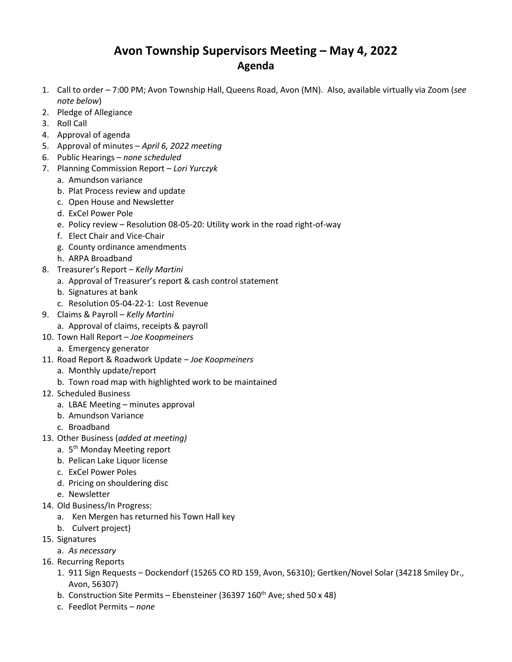## **Avon Township Supervisors Meeting – May 4, 2022 Agenda**

- 1. Call to order 7:00 PM; Avon Township Hall, Queens Road, Avon (MN). Also, available virtually via Zoom (*see note below*)
- 2. Pledge of Allegiance
- 3. Roll Call
- 4. Approval of agenda
- 5. Approval of minutes *April 6, 2022 meeting*
- 6. Public Hearings *none scheduled*
- 7. Planning Commission Report *– Lori Yurczyk*
	- a. Amundson variance
	- b. Plat Process review and update
	- c. Open House and Newsletter
	- d. ExCel Power Pole
	- e. Policy review Resolution 08-05-20: Utility work in the road right-of-way
	- f. Elect Chair and Vice-Chair
	- g. County ordinance amendments
	- h. ARPA Broadband
- 8. Treasurer's Report *Kelly Martini*
	- a. Approval of Treasurer's report & cash control statement
	- b. Signatures at bank
	- c. Resolution 05-04-22-1: Lost Revenue
- 9. Claims & Payroll *Kelly Martini*
	- a. Approval of claims, receipts & payroll
- 10. Town Hall Report *Joe Koopmeiners*
	- a. Emergency generator
- 11. Road Report & Roadwork Update *Joe Koopmeiners*
	- a. Monthly update/report
	- b. Town road map with highlighted work to be maintained
- 12. Scheduled Business
	- a. LBAE Meeting minutes approval
	- b. Amundson Variance
	- c. Broadband
- 13. Other Business (*added at meeting)*
	- a. 5<sup>th</sup> Monday Meeting report
	- b. Pelican Lake Liquor license
	- c. ExCel Power Poles
	- d. Pricing on shouldering disc
	- e. Newsletter
- 14. Old Business/In Progress:
	- a. Ken Mergen has returned his Town Hall key
	- b. Culvert project)
- 15. Signatures
	- a. *As necessary*
- 16. Recurring Reports
	- 1. 911 Sign Requests Dockendorf (15265 CO RD 159, Avon, 56310); Gertken/Novel Solar (34218 Smiley Dr., Avon, 56307)
	- b. Construction Site Permits Ebensteiner (36397  $160^{th}$  Ave; shed 50 x 48)
	- c. Feedlot Permits *none*